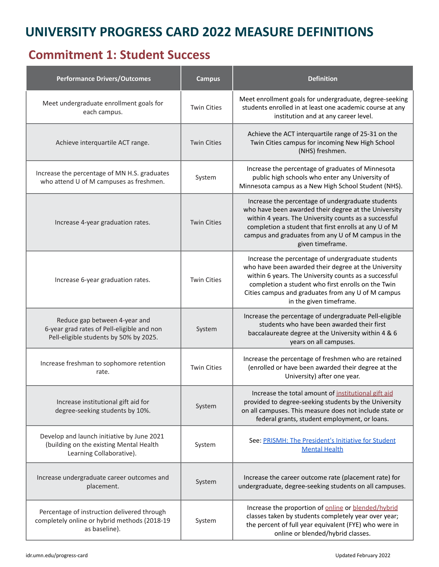## **UNIVERSITY PROGRESS CARD 2022 MEASURE DEFINITIONS**

### **Commitment 1: Student Success**

| <b>Performance Drivers/Outcomes</b>                                                                                   | <b>Campus</b>      | <b>Definition</b>                                                                                                                                                                                                                                                                                         |
|-----------------------------------------------------------------------------------------------------------------------|--------------------|-----------------------------------------------------------------------------------------------------------------------------------------------------------------------------------------------------------------------------------------------------------------------------------------------------------|
| Meet undergraduate enrollment goals for<br>each campus.                                                               | <b>Twin Cities</b> | Meet enrollment goals for undergraduate, degree-seeking<br>students enrolled in at least one academic course at any<br>institution and at any career level.                                                                                                                                               |
| Achieve interquartile ACT range.                                                                                      | <b>Twin Cities</b> | Achieve the ACT interquartile range of 25-31 on the<br>Twin Cities campus for incoming New High School<br>(NHS) freshmen.                                                                                                                                                                                 |
| Increase the percentage of MN H.S. graduates<br>who attend U of M campuses as freshmen.                               | System             | Increase the percentage of graduates of Minnesota<br>public high schools who enter any University of<br>Minnesota campus as a New High School Student (NHS).                                                                                                                                              |
| Increase 4-year graduation rates.                                                                                     | <b>Twin Cities</b> | Increase the percentage of undergraduate students<br>who have been awarded their degree at the University<br>within 4 years. The University counts as a successful<br>completion a student that first enrolls at any U of M<br>campus and graduates from any U of M campus in the<br>given timeframe.     |
| Increase 6-year graduation rates.                                                                                     | <b>Twin Cities</b> | Increase the percentage of undergraduate students<br>who have been awarded their degree at the University<br>within 6 years. The University counts as a successful<br>completion a student who first enrolls on the Twin<br>Cities campus and graduates from any U of M campus<br>in the given timeframe. |
| Reduce gap between 4-year and<br>6-year grad rates of Pell-eligible and non<br>Pell-eligible students by 50% by 2025. | System             | Increase the percentage of undergraduate Pell-eligible<br>students who have been awarded their first<br>baccalaureate degree at the University within 4 & 6<br>years on all campuses.                                                                                                                     |
| Increase freshman to sophomore retention<br>rate.                                                                     | <b>Twin Cities</b> | Increase the percentage of freshmen who are retained<br>(enrolled or have been awarded their degree at the<br>University) after one year.                                                                                                                                                                 |
| Increase institutional gift aid for<br>degree-seeking students by 10%.                                                | System             | Increase the total amount of institutional gift aid<br>provided to degree-seeking students by the University<br>on all campuses. This measure does not include state or<br>federal grants, student employment, or loans.                                                                                  |
| Develop and launch initiative by June 2021<br>(building on the existing Mental Health<br>Learning Collaborative).     | System             | See: PRISMH: The President's Initiative for Student<br><b>Mental Health</b>                                                                                                                                                                                                                               |
| Increase undergraduate career outcomes and<br>placement.                                                              | System             | Increase the career outcome rate (placement rate) for<br>undergraduate, degree-seeking students on all campuses.                                                                                                                                                                                          |
| Percentage of instruction delivered through<br>completely online or hybrid methods (2018-19<br>as baseline).          | System             | Increase the proportion of online or blended/hybrid<br>classes taken by students completely year over year;<br>the percent of full year equivalent (FYE) who were in<br>online or blended/hybrid classes.                                                                                                 |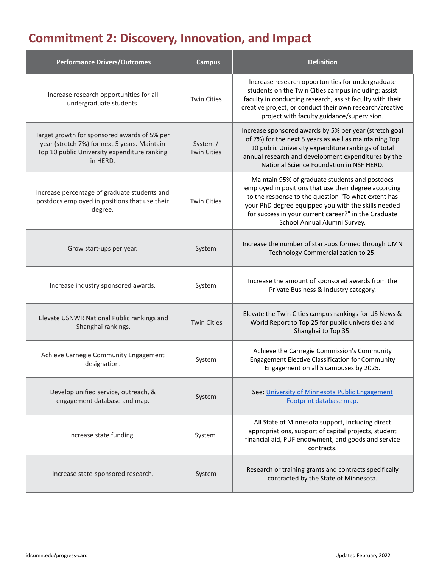# **Commitment 2: Discovery, Innovation, and Impact**

| <b>Performance Drivers/Outcomes</b>                                                                                                                      | <b>Campus</b>                  | <b>Definition</b>                                                                                                                                                                                                                                                                                             |
|----------------------------------------------------------------------------------------------------------------------------------------------------------|--------------------------------|---------------------------------------------------------------------------------------------------------------------------------------------------------------------------------------------------------------------------------------------------------------------------------------------------------------|
| Increase research opportunities for all<br>undergraduate students.                                                                                       | <b>Twin Cities</b>             | Increase research opportunities for undergraduate<br>students on the Twin Cities campus including: assist<br>faculty in conducting research, assist faculty with their<br>creative project, or conduct their own research/creative<br>project with faculty guidance/supervision.                              |
| Target growth for sponsored awards of 5% per<br>year (stretch 7%) for next 5 years. Maintain<br>Top 10 public University expenditure ranking<br>in HERD. | System /<br><b>Twin Cities</b> | Increase sponsored awards by 5% per year (stretch goal<br>of 7%) for the next 5 years as well as maintaining Top<br>10 public University expenditure rankings of total<br>annual research and development expenditures by the<br>National Science Foundation in NSF HERD.                                     |
| Increase percentage of graduate students and<br>postdocs employed in positions that use their<br>degree.                                                 | <b>Twin Cities</b>             | Maintain 95% of graduate students and postdocs<br>employed in positions that use their degree according<br>to the response to the question "To what extent has<br>your PhD degree equipped you with the skills needed<br>for success in your current career?" in the Graduate<br>School Annual Alumni Survey. |
| Grow start-ups per year.                                                                                                                                 | System                         | Increase the number of start-ups formed through UMN<br>Technology Commercialization to 25.                                                                                                                                                                                                                    |
| Increase industry sponsored awards.                                                                                                                      | System                         | Increase the amount of sponsored awards from the<br>Private Business & Industry category.                                                                                                                                                                                                                     |
| Elevate USNWR National Public rankings and<br>Shanghai rankings.                                                                                         | <b>Twin Cities</b>             | Elevate the Twin Cities campus rankings for US News &<br>World Report to Top 25 for public universities and<br>Shanghai to Top 35.                                                                                                                                                                            |
| Achieve Carnegie Community Engagement<br>designation.                                                                                                    | System                         | Achieve the Carnegie Commission's Community<br><b>Engagement Elective Classification for Community</b><br>Engagement on all 5 campuses by 2025.                                                                                                                                                               |
| Develop unified service, outreach, &<br>engagement database and map.                                                                                     | System                         | See: University of Minnesota Public Engagement<br>Footprint database map.                                                                                                                                                                                                                                     |
| Increase state funding.                                                                                                                                  | System                         | All State of Minnesota support, including direct<br>appropriations, support of capital projects, student<br>financial aid, PUF endowment, and goods and service<br>contracts.                                                                                                                                 |
| Increase state-sponsored research.                                                                                                                       | System                         | Research or training grants and contracts specifically<br>contracted by the State of Minnesota.                                                                                                                                                                                                               |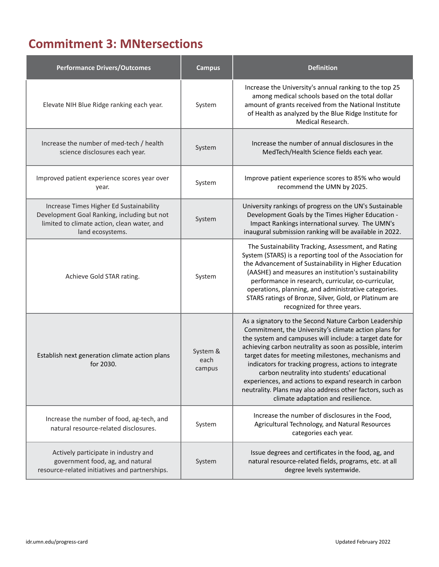## **Commitment 3: MNtersections**

| <b>Performance Drivers/Outcomes</b>                                                                                                                       | <b>Campus</b>              | <b>Definition</b>                                                                                                                                                                                                                                                                                                                                                                                                                                                                                                                                                  |
|-----------------------------------------------------------------------------------------------------------------------------------------------------------|----------------------------|--------------------------------------------------------------------------------------------------------------------------------------------------------------------------------------------------------------------------------------------------------------------------------------------------------------------------------------------------------------------------------------------------------------------------------------------------------------------------------------------------------------------------------------------------------------------|
| Elevate NIH Blue Ridge ranking each year.                                                                                                                 | System                     | Increase the University's annual ranking to the top 25<br>among medical schools based on the total dollar<br>amount of grants received from the National Institute<br>of Health as analyzed by the Blue Ridge Institute for<br>Medical Research.                                                                                                                                                                                                                                                                                                                   |
| Increase the number of med-tech / health<br>science disclosures each year.                                                                                | System                     | Increase the number of annual disclosures in the<br>MedTech/Health Science fields each year.                                                                                                                                                                                                                                                                                                                                                                                                                                                                       |
| Improved patient experience scores year over<br>year.                                                                                                     | System                     | Improve patient experience scores to 85% who would<br>recommend the UMN by 2025.                                                                                                                                                                                                                                                                                                                                                                                                                                                                                   |
| Increase Times Higher Ed Sustainability<br>Development Goal Ranking, including but not<br>limited to climate action, clean water, and<br>land ecosystems. | System                     | University rankings of progress on the UN's Sustainable<br>Development Goals by the Times Higher Education -<br>Impact Rankings international survey. The UMN's<br>inaugural submission ranking will be available in 2022.                                                                                                                                                                                                                                                                                                                                         |
| Achieve Gold STAR rating.                                                                                                                                 | System                     | The Sustainability Tracking, Assessment, and Rating<br>System (STARS) is a reporting tool of the Association for<br>the Advancement of Sustainability in Higher Education<br>(AASHE) and measures an institution's sustainability<br>performance in research, curricular, co-curricular,<br>operations, planning, and administrative categories.<br>STARS ratings of Bronze, Silver, Gold, or Platinum are<br>recognized for three years.                                                                                                                          |
| Establish next generation climate action plans<br>for 2030.                                                                                               | System &<br>each<br>campus | As a signatory to the Second Nature Carbon Leadership<br>Commitment, the University's climate action plans for<br>the system and campuses will include: a target date for<br>achieving carbon neutrality as soon as possible, interim<br>target dates for meeting milestones, mechanisms and<br>indicators for tracking progress, actions to integrate<br>carbon neutrality into students' educational<br>experiences, and actions to expand research in carbon<br>neutrality. Plans may also address other factors, such as<br>climate adaptation and resilience. |
| Increase the number of food, ag-tech, and<br>natural resource-related disclosures.                                                                        | System                     | Increase the number of disclosures in the Food,<br>Agricultural Technology, and Natural Resources<br>categories each year.                                                                                                                                                                                                                                                                                                                                                                                                                                         |
| Actively participate in industry and<br>government food, ag, and natural<br>resource-related initiatives and partnerships.                                | System                     | Issue degrees and certificates in the food, ag, and<br>natural resource-related fields, programs, etc. at all<br>degree levels systemwide.                                                                                                                                                                                                                                                                                                                                                                                                                         |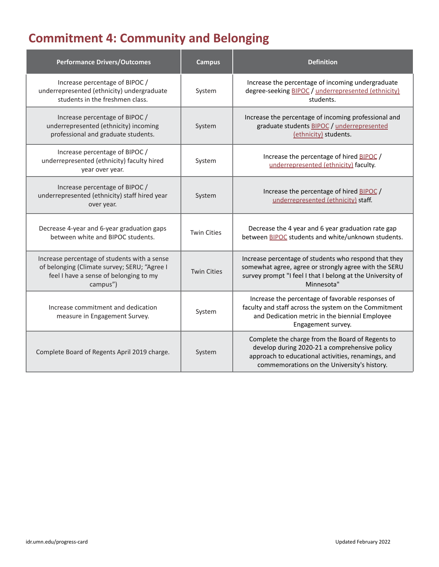# **Commitment 4: Community and Belonging**

| <b>Performance Drivers/Outcomes</b>                                                                                                                | <b>Campus</b>      | <b>Definition</b>                                                                                                                                                                                      |
|----------------------------------------------------------------------------------------------------------------------------------------------------|--------------------|--------------------------------------------------------------------------------------------------------------------------------------------------------------------------------------------------------|
| Increase percentage of BIPOC /<br>underrepresented (ethnicity) undergraduate<br>students in the freshmen class.                                    | System             | Increase the percentage of incoming undergraduate<br>degree-seeking BIPOC / underrepresented (ethnicity)<br>students.                                                                                  |
| Increase percentage of BIPOC /<br>underrepresented (ethnicity) incoming<br>professional and graduate students.                                     | System             | Increase the percentage of incoming professional and<br>graduate students BIPOC / underrepresented<br>(ethnicity) students.                                                                            |
| Increase percentage of BIPOC /<br>underrepresented (ethnicity) faculty hired<br>year over year.                                                    | System             | Increase the percentage of hired BIPOC /<br>underrepresented (ethnicity) faculty.                                                                                                                      |
| Increase percentage of BIPOC /<br>underrepresented (ethnicity) staff hired year<br>over year.                                                      | System             | Increase the percentage of hired BIPOC /<br>underrepresented (ethnicity) staff.                                                                                                                        |
| Decrease 4-year and 6-year graduation gaps<br>between white and BIPOC students.                                                                    | <b>Twin Cities</b> | Decrease the 4 year and 6 year graduation rate gap<br>between <b>BIPOC</b> students and white/unknown students.                                                                                        |
| Increase percentage of students with a sense<br>of belonging (Climate survey; SERU; "Agree I<br>feel I have a sense of belonging to my<br>campus") | <b>Twin Cities</b> | Increase percentage of students who respond that they<br>somewhat agree, agree or strongly agree with the SERU<br>survey prompt "I feel I that I belong at the University of<br>Minnesota"             |
| Increase commitment and dedication<br>measure in Engagement Survey.                                                                                | System             | Increase the percentage of favorable responses of<br>faculty and staff across the system on the Commitment<br>and Dedication metric in the biennial Employee<br>Engagement survey.                     |
| Complete Board of Regents April 2019 charge.                                                                                                       | System             | Complete the charge from the Board of Regents to<br>develop during 2020-21 a comprehensive policy<br>approach to educational activities, renamings, and<br>commemorations on the University's history. |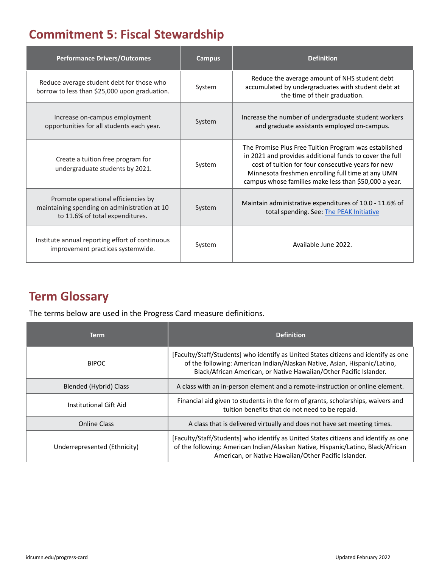## **Commitment 5: Fiscal Stewardship**

| <b>Performance Drivers/Outcomes</b>                                                                                    | <b>Campus</b> | <b>Definition</b>                                                                                                                                                                                                                                                                    |
|------------------------------------------------------------------------------------------------------------------------|---------------|--------------------------------------------------------------------------------------------------------------------------------------------------------------------------------------------------------------------------------------------------------------------------------------|
| Reduce average student debt for those who<br>borrow to less than \$25,000 upon graduation.                             | System        | Reduce the average amount of NHS student debt<br>accumulated by undergraduates with student debt at<br>the time of their graduation.                                                                                                                                                 |
| Increase on-campus employment<br>opportunities for all students each year.                                             | System        | Increase the number of undergraduate student workers<br>and graduate assistants employed on-campus.                                                                                                                                                                                  |
| Create a tuition free program for<br>undergraduate students by 2021.                                                   | System        | The Promise Plus Free Tuition Program was established<br>in 2021 and provides additional funds to cover the full<br>cost of tuition for four consecutive years for new<br>Minnesota freshmen enrolling full time at any UMN<br>campus whose families make less than \$50,000 a year. |
| Promote operational efficiencies by<br>maintaining spending on administration at 10<br>to 11.6% of total expenditures. | System        | Maintain administrative expenditures of 10.0 - 11.6% of<br>total spending. See: The PEAK Initiative                                                                                                                                                                                  |
| Institute annual reporting effort of continuous<br>improvement practices systemwide.                                   | System        | Available June 2022.                                                                                                                                                                                                                                                                 |

## **Term Glossary**

The terms below are used in the Progress Card measure definitions.

<span id="page-4-4"></span><span id="page-4-3"></span><span id="page-4-2"></span><span id="page-4-1"></span><span id="page-4-0"></span>

| <b>Term</b>                  | <b>Definition</b>                                                                                                                                                                                                                      |
|------------------------------|----------------------------------------------------------------------------------------------------------------------------------------------------------------------------------------------------------------------------------------|
| <b>BIPOC</b>                 | [Faculty/Staff/Students] who identify as United States citizens and identify as one<br>of the following: American Indian/Alaskan Native, Asian, Hispanic/Latino,<br>Black/African American, or Native Hawaiian/Other Pacific Islander. |
| Blended (Hybrid) Class       | A class with an in-person element and a remote-instruction or online element.                                                                                                                                                          |
| Institutional Gift Aid       | Financial aid given to students in the form of grants, scholarships, waivers and<br>tuition benefits that do not need to be repaid.                                                                                                    |
| <b>Online Class</b>          | A class that is delivered virtually and does not have set meeting times.                                                                                                                                                               |
| Underrepresented (Ethnicity) | [Faculty/Staff/Students] who identify as United States citizens and identify as one<br>of the following: American Indian/Alaskan Native, Hispanic/Latino, Black/African<br>American, or Native Hawaiian/Other Pacific Islander.        |